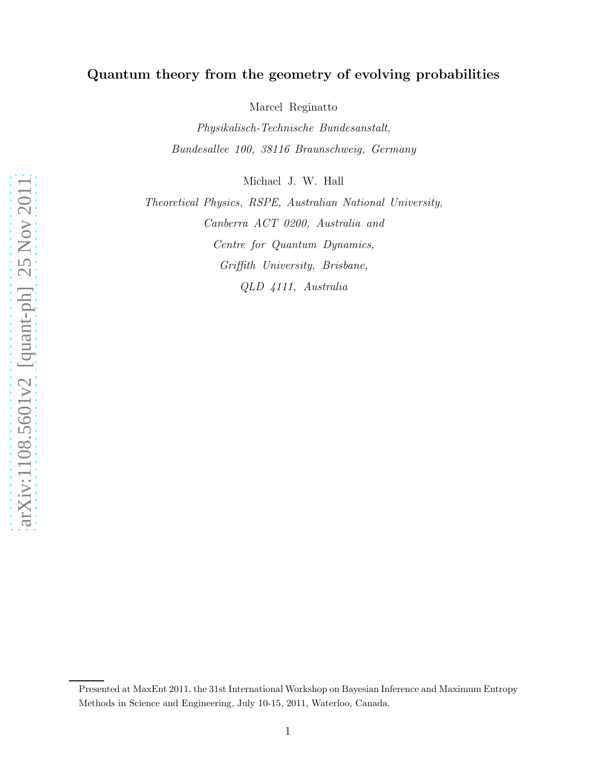## Quantum theory from the geometry of evolving probabilities

Marcel Reginatto

Physikalisch-Technische Bundesanstalt, Bundesallee 100, 38116 Braunschweig, Germany

Michael J. W. Hall

Theoretical Physics, RSPE, Australian National University, Canberra ACT 0200, Australia and Centre for Quantum Dynamics, Griffith University, Brisbane, QLD 4111, Australia

arXiv:1108.5601v2 [quant-ph] 25 Nov 2011 [arXiv:1108.5601v2 \[quant-ph\] 25 Nov 2011](http://arxiv.org/abs/1108.5601v2)

Presented at MaxEnt 2011, the 31st International Workshop on Bayesian Inference and Maximum Entropy Methods in Science and Engineering, July 10-15, 2011, Waterloo, Canada.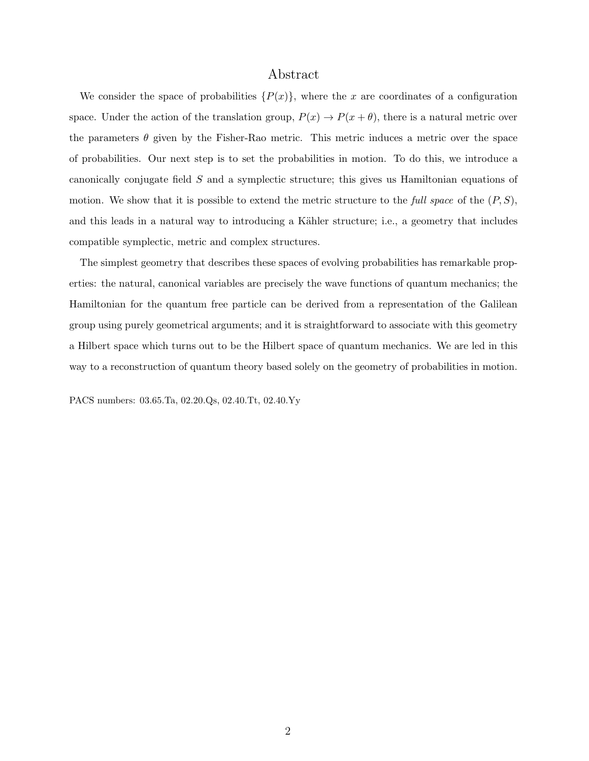## Abstract

We consider the space of probabilities  $\{P(x)\}\$ , where the x are coordinates of a configuration space. Under the action of the translation group,  $P(x) \to P(x + \theta)$ , there is a natural metric over the parameters  $\theta$  given by the Fisher-Rao metric. This metric induces a metric over the space of probabilities. Our next step is to set the probabilities in motion. To do this, we introduce a canonically conjugate field S and a symplectic structure; this gives us Hamiltonian equations of motion. We show that it is possible to extend the metric structure to the full space of the  $(P, S)$ , and this leads in a natural way to introducing a Kähler structure; i.e., a geometry that includes compatible symplectic, metric and complex structures.

The simplest geometry that describes these spaces of evolving probabilities has remarkable properties: the natural, canonical variables are precisely the wave functions of quantum mechanics; the Hamiltonian for the quantum free particle can be derived from a representation of the Galilean group using purely geometrical arguments; and it is straightforward to associate with this geometry a Hilbert space which turns out to be the Hilbert space of quantum mechanics. We are led in this way to a reconstruction of quantum theory based solely on the geometry of probabilities in motion.

PACS numbers: 03.65.Ta, 02.20.Qs, 02.40.Tt, 02.40.Yy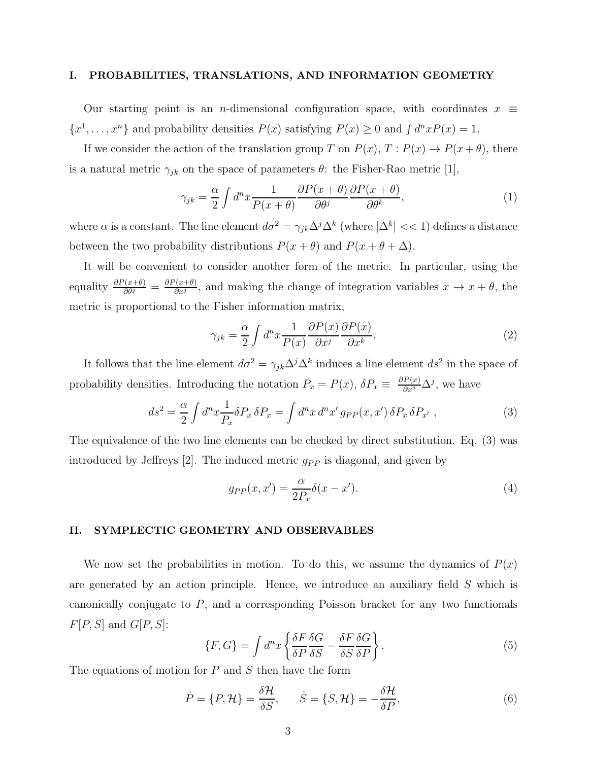#### I. PROBABILITIES, TRANSLATIONS, AND INFORMATION GEOMETRY

Our starting point is an *n*-dimensional configuration space, with coordinates  $x \equiv$  $\{x^1, \ldots, x^n\}$  and probability densities  $P(x)$  satisfying  $P(x) \ge 0$  and  $\int d^n x P(x) = 1$ .

If we consider the action of the translation group T on  $P(x)$ ,  $T: P(x) \to P(x + \theta)$ , there is a natural metric  $\gamma_{jk}$  on the space of parameters  $\theta$ : the Fisher-Rao metric [1],

$$
\gamma_{jk} = \frac{\alpha}{2} \int d^n x \frac{1}{P(x+\theta)} \frac{\partial P(x+\theta)}{\partial \theta^j} \frac{\partial P(x+\theta)}{\partial \theta^k},\tag{1}
$$

where  $\alpha$  is a constant. The line element  $d\sigma^2 = \gamma_{jk}\Delta^j\Delta^k$  (where  $|\Delta^k| << 1$ ) defines a distance between the two probability distributions  $P(x + \theta)$  and  $P(x + \theta + \Delta)$ .

It will be convenient to consider another form of the metric. In particular, using the equality  $\frac{\partial P(x+\theta)}{\partial \theta^j} = \frac{\partial P(x+\theta)}{\partial x^j}$  $\frac{f(x+\theta)}{\partial x^j}$ , and making the change of integration variables  $x \to x + \theta$ , the metric is proportional to the Fisher information matrix,

$$
\gamma_{jk} = \frac{\alpha}{2} \int d^n x \frac{1}{P(x)} \frac{\partial P(x)}{\partial x^j} \frac{\partial P(x)}{\partial x^k}.
$$
 (2)

It follows that the line element  $d\sigma^2 = \gamma_{jk}\Delta^j\Delta^k$  induces a line element  $ds^2$  in the space of probability densities. Introducing the notation  $P_x = P(x)$ ,  $\delta P_x \equiv \frac{\partial P(x)}{\partial x^j} \Delta^j$ , we have

$$
ds^2 = \frac{\alpha}{2} \int d^n x \frac{1}{P_x} \delta P_x \, \delta P_x = \int d^n x \, d^n x' \, g_{PP}(x, x') \, \delta P_x \, \delta P_{x'} \,, \tag{3}
$$

The equivalence of the two line elements can be checked by direct substitution. Eq. (3) was introduced by Jeffreys [2]. The induced metric  $g_{PP}$  is diagonal, and given by

$$
g_{PP}(x, x') = \frac{\alpha}{2P_x} \delta(x - x'). \tag{4}
$$

### II. SYMPLECTIC GEOMETRY AND OBSERVABLES

We now set the probabilities in motion. To do this, we assume the dynamics of  $P(x)$ are generated by an action principle. Hence, we introduce an auxiliary field S which is canonically conjugate to  $P$ , and a corresponding Poisson bracket for any two functionals  $F[P, S]$  and  $G[P, S]$ :

$$
\{F, G\} = \int d^n x \left\{ \frac{\delta F}{\delta P} \frac{\delta G}{\delta S} - \frac{\delta F}{\delta S} \frac{\delta G}{\delta P} \right\}.
$$
\n
$$
(5)
$$

The equations of motion for  $P$  and  $S$  then have the form

$$
\dot{P} = \{P, \mathcal{H}\} = \frac{\delta \mathcal{H}}{\delta S}, \qquad \dot{S} = \{S, \mathcal{H}\} = -\frac{\delta \mathcal{H}}{\delta P},\tag{6}
$$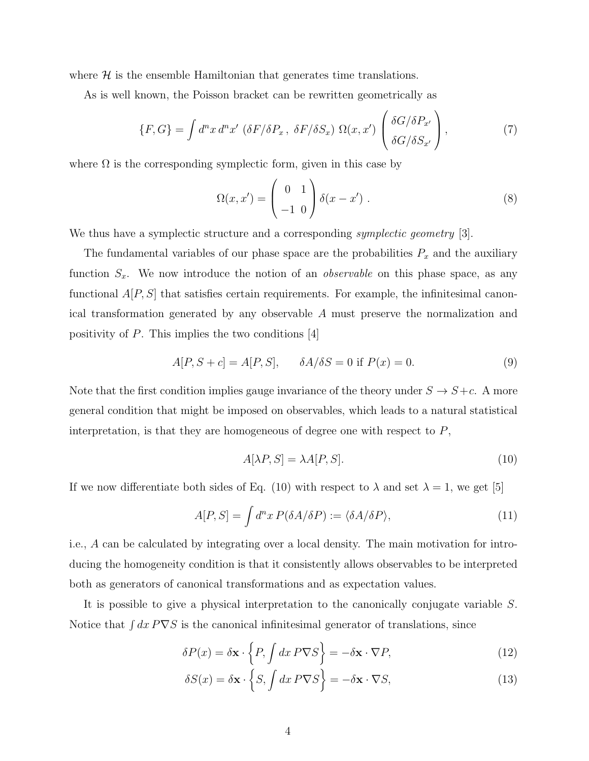where  $\mathcal{H}$  is the ensemble Hamiltonian that generates time translations.

As is well known, the Poisson bracket can be rewritten geometrically as

$$
\{F, G\} = \int d^n x \, d^n x' \, (\delta F / \delta P_x, \ \delta F / \delta S_x) \ \Omega(x, x') \left( \frac{\delta G / \delta P_{x'}}{\delta G / \delta S_{x'}} \right),\tag{7}
$$

where  $\Omega$  is the corresponding symplectic form, given in this case by

$$
\Omega(x, x') = \begin{pmatrix} 0 & 1 \\ -1 & 0 \end{pmatrix} \delta(x - x') . \tag{8}
$$

We thus have a symplectic structure and a corresponding *symplectic geometry* [3].

The fundamental variables of our phase space are the probabilities  $P_x$  and the auxiliary function  $S_x$ . We now introduce the notion of an *observable* on this phase space, as any functional  $A[P, S]$  that satisfies certain requirements. For example, the infinitesimal canonical transformation generated by any observable A must preserve the normalization and positivity of  $P$ . This implies the two conditions [4]

$$
A[P, S + c] = A[P, S], \quad \delta A / \delta S = 0 \text{ if } P(x) = 0.
$$
 (9)

Note that the first condition implies gauge invariance of the theory under  $S \to S+c$ . A more general condition that might be imposed on observables, which leads to a natural statistical interpretation, is that they are homogeneous of degree one with respect to  $P$ ,

$$
A[\lambda P, S] = \lambda A[P, S]. \tag{10}
$$

If we now differentiate both sides of Eq. (10) with respect to  $\lambda$  and set  $\lambda = 1$ , we get [5]

$$
A[P, S] = \int d^n x P(\delta A / \delta P) := \langle \delta A / \delta P \rangle,
$$
\n(11)

i.e., A can be calculated by integrating over a local density. The main motivation for introducing the homogeneity condition is that it consistently allows observables to be interpreted both as generators of canonical transformations and as expectation values.

It is possible to give a physical interpretation to the canonically conjugate variable S. Notice that  $\int dx P \nabla S$  is the canonical infinitesimal generator of translations, since

$$
\delta P(x) = \delta \mathbf{x} \cdot \left\{ P, \int dx \, P \nabla S \right\} = -\delta \mathbf{x} \cdot \nabla P,\tag{12}
$$

$$
\delta S(x) = \delta \mathbf{x} \cdot \left\{ S, \int dx \, P \nabla S \right\} = -\delta \mathbf{x} \cdot \nabla S,\tag{13}
$$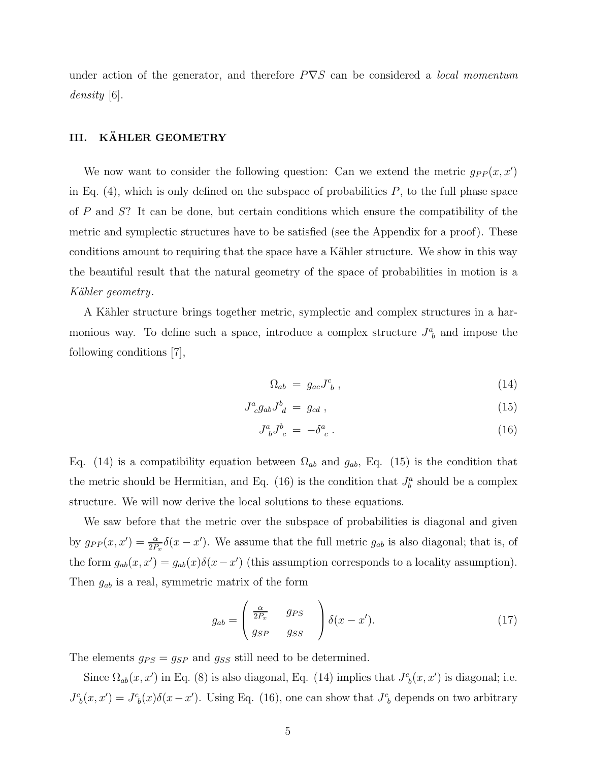under action of the generator, and therefore  $P\nabla S$  can be considered a *local momentum* density [6].

## III. KÄHLER GEOMETRY

We now want to consider the following question: Can we extend the metric  $g_{PP}(x, x')$ in Eq.  $(4)$ , which is only defined on the subspace of probabilities P, to the full phase space of P and S? It can be done, but certain conditions which ensure the compatibility of the metric and symplectic structures have to be satisfied (see the Appendix for a proof). These conditions amount to requiring that the space have a Kähler structure. We show in this way the beautiful result that the natural geometry of the space of probabilities in motion is a Kähler geometry.

A Kähler structure brings together metric, symplectic and complex structures in a harmonious way. To define such a space, introduce a complex structure  $J^a_{\ b}$  and impose the following conditions [7],

$$
\Omega_{ab} = g_{ac} J^c_{\ b} \,, \tag{14}
$$

$$
J^a_{\ c}g_{ab}J^b_{\ d} = g_{cd} \,, \tag{15}
$$

$$
J^a_{\ b} J^b_{\ c} = -\delta^a_{\ c} \ . \tag{16}
$$

Eq. (14) is a compatibility equation between  $\Omega_{ab}$  and  $g_{ab}$ , Eq. (15) is the condition that the metric should be Hermitian, and Eq. (16) is the condition that  $J_b^a$  should be a complex structure. We will now derive the local solutions to these equations.

We saw before that the metric over the subspace of probabilities is diagonal and given by  $g_{PP}(x, x') = \frac{\alpha}{2P_x} \delta(x - x')$ . We assume that the full metric  $g_{ab}$  is also diagonal; that is, of the form  $g_{ab}(x, x') = g_{ab}(x)\delta(x - x')$  (this assumption corresponds to a locality assumption). Then  $g_{ab}$  is a real, symmetric matrix of the form

$$
g_{ab} = \begin{pmatrix} \frac{\alpha}{2P_x} & g_{PS} \\ g_{SP} & g_{SS} \end{pmatrix} \delta(x - x'). \tag{17}
$$

The elements  $g_{PS} = g_{SP}$  and  $g_{SS}$  still need to be determined.

Since  $\Omega_{ab}(x, x')$  in Eq. (8) is also diagonal, Eq. (14) implies that  $J^c_{\ b}(x, x')$  is diagonal; i.e.  $J^c{}_b(x,x') = J^c{}_b(x)\delta(x-x')$ . Using Eq. (16), one can show that  $J^c{}_b$  depends on two arbitrary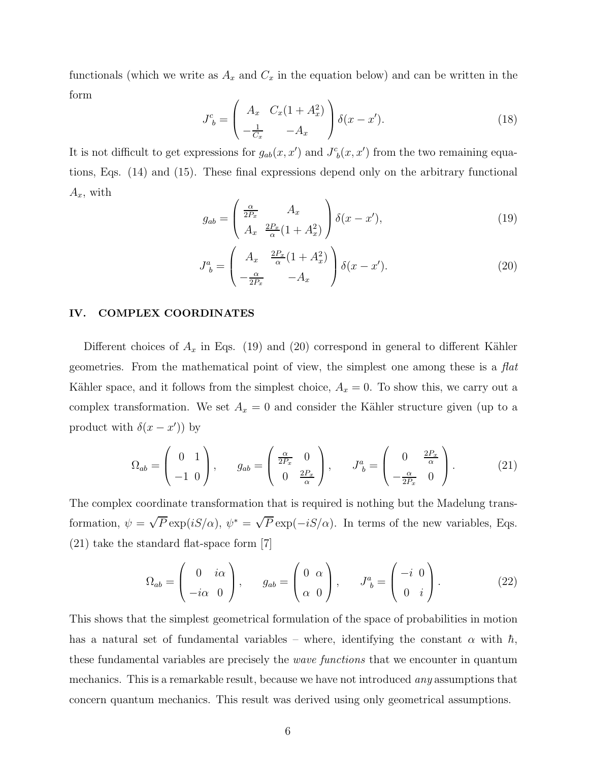functionals (which we write as  $A_x$  and  $C_x$  in the equation below) and can be written in the form

$$
J_b^c = \begin{pmatrix} A_x & C_x(1+A_x^2) \\ -\frac{1}{C_x} & -A_x \end{pmatrix} \delta(x-x').
$$
 (18)

It is not difficult to get expressions for  $g_{ab}(x, x')$  and  $J^c_{b}(x, x')$  from the two remaining equations, Eqs. (14) and (15). These final expressions depend only on the arbitrary functional  $A_x$ , with

$$
g_{ab} = \left(\frac{\frac{\alpha}{2P_x}}{A_x} \frac{A_x}{\frac{2P_x}{\alpha}(1+A_x^2)}\right) \delta(x-x'),\tag{19}
$$

$$
J_b^a = \begin{pmatrix} A_x & \frac{2P_x}{\alpha}(1+A_x^2) \\ -\frac{\alpha}{2P_x} & -A_x \end{pmatrix} \delta(x-x'). \tag{20}
$$

#### IV. COMPLEX COORDINATES

Different choices of  $A_x$  in Eqs. (19) and (20) correspond in general to different Kähler geometries. From the mathematical point of view, the simplest one among these is a  $flat$ Kähler space, and it follows from the simplest choice,  $A_x = 0$ . To show this, we carry out a complex transformation. We set  $A_x = 0$  and consider the Kähler structure given (up to a product with  $\delta(x - x')$  by

$$
\Omega_{ab} = \begin{pmatrix} 0 & 1 \\ -1 & 0 \end{pmatrix}, \qquad g_{ab} = \begin{pmatrix} \frac{\alpha}{2P_x} & 0 \\ 0 & \frac{2P_x}{\alpha} \end{pmatrix}, \qquad J^a_{\ b} = \begin{pmatrix} 0 & \frac{2P_x}{\alpha} \\ -\frac{\alpha}{2P_x} & 0 \end{pmatrix}.
$$
 (21)

The complex coordinate transformation that is required is nothing but the Madelung transformation,  $\psi = \sqrt{P} \exp(iS/\alpha)$ ,  $\psi^* = \sqrt{P} \exp(-iS/\alpha)$ . In terms of the new variables, Eqs. (21) take the standard flat-space form [7]

$$
\Omega_{ab} = \begin{pmatrix} 0 & i\alpha \\ -i\alpha & 0 \end{pmatrix}, \qquad g_{ab} = \begin{pmatrix} 0 & \alpha \\ \alpha & 0 \end{pmatrix}, \qquad J^a_{\ b} = \begin{pmatrix} -i & 0 \\ 0 & i \end{pmatrix}.
$$
 (22)

This shows that the simplest geometrical formulation of the space of probabilities in motion has a natural set of fundamental variables – where, identifying the constant  $\alpha$  with  $\hbar$ , these fundamental variables are precisely the wave functions that we encounter in quantum mechanics. This is a remarkable result, because we have not introduced any assumptions that concern quantum mechanics. This result was derived using only geometrical assumptions.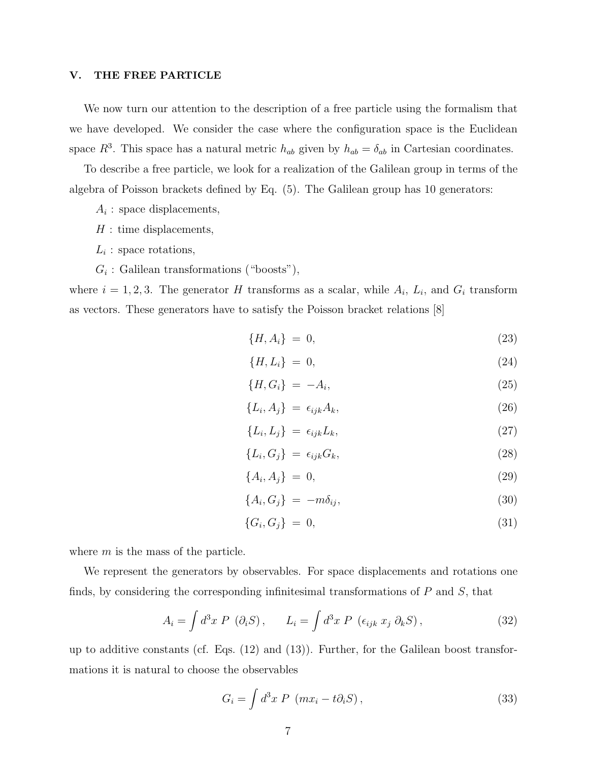## V. THE FREE PARTICLE

We now turn our attention to the description of a free particle using the formalism that we have developed. We consider the case where the configuration space is the Euclidean space  $R^3$ . This space has a natural metric  $h_{ab}$  given by  $h_{ab} = \delta_{ab}$  in Cartesian coordinates.

To describe a free particle, we look for a realization of the Galilean group in terms of the algebra of Poisson brackets defined by Eq. (5). The Galilean group has 10 generators:

- $A_i$ : space displacements,
- ${\cal H}$  : time displacements,
- $L_i$ : space rotations,
- $G_i$ : Galilean transformations ("boosts"),

where  $i = 1, 2, 3$ . The generator H transforms as a scalar, while  $A_i$ ,  $L_i$ , and  $G_i$  transform as vectors. These generators have to satisfy the Poisson bracket relations [8]

$$
\{H, A_i\} = 0,\t(23)
$$

$$
\{H, L_i\} = 0,\t(24)
$$

$$
\{H, G_i\} = -A_i,\tag{25}
$$

$$
\{L_i, A_j\} = \epsilon_{ijk} A_k,\tag{26}
$$

$$
\{L_i, L_j\} = \epsilon_{ijk} L_k,\tag{27}
$$

$$
\{L_i, G_j\} = \epsilon_{ijk} G_k,\tag{28}
$$

$$
\{A_i, A_j\} = 0,\t\t(29)
$$

$$
\{A_i, G_j\} = -m\delta_{ij},\tag{30}
$$

$$
\{G_i, G_j\} = 0,\t\t(31)
$$

where  $m$  is the mass of the particle.

We represent the generators by observables. For space displacements and rotations one finds, by considering the corresponding infinitesimal transformations of  $P$  and  $S$ , that

$$
A_i = \int d^3x \ P \ (\partial_i S) \,, \qquad L_i = \int d^3x \ P \ (\epsilon_{ijk} \ x_j \ \partial_k S) \,, \tag{32}
$$

up to additive constants (cf. Eqs. (12) and (13)). Further, for the Galilean boost transformations it is natural to choose the observables

$$
G_i = \int d^3x \ P \ (mx_i - t\partial_i S) \,, \tag{33}
$$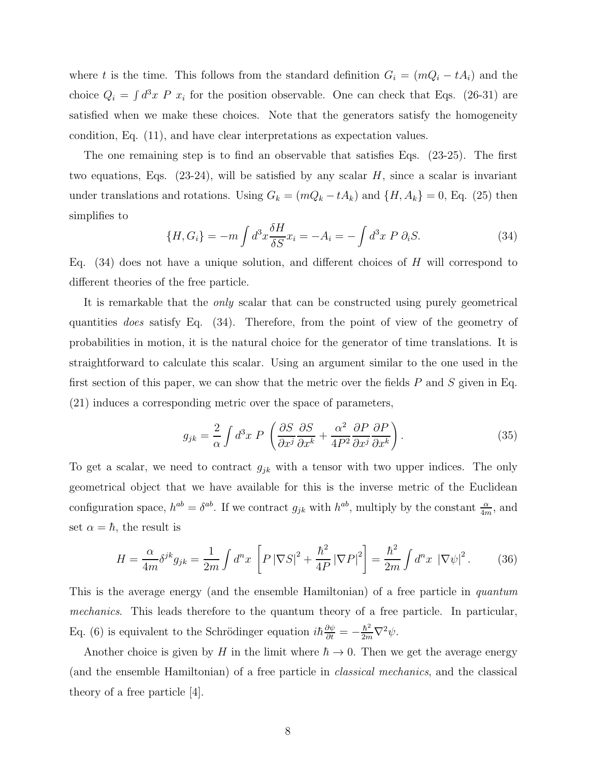where t is the time. This follows from the standard definition  $G_i = (mQ_i - tA_i)$  and the choice  $Q_i = \int d^3x P x_i$  for the position observable. One can check that Eqs. (26-31) are satisfied when we make these choices. Note that the generators satisfy the homogeneity condition, Eq. (11), and have clear interpretations as expectation values.

The one remaining step is to find an observable that satisfies Eqs. (23-25). The first two equations, Eqs.  $(23-24)$ , will be satisfied by any scalar H, since a scalar is invariant under translations and rotations. Using  $G_k = (mQ_k - tA_k)$  and  $\{H, A_k\} = 0$ , Eq. (25) then simplifies to

$$
\{H, G_i\} = -m \int d^3x \frac{\delta H}{\delta S} x_i = -A_i = -\int d^3x \ P \ \partial_i S. \tag{34}
$$

Eq.  $(34)$  does not have a unique solution, and different choices of H will correspond to different theories of the free particle.

It is remarkable that the only scalar that can be constructed using purely geometrical quantities does satisfy Eq. (34). Therefore, from the point of view of the geometry of probabilities in motion, it is the natural choice for the generator of time translations. It is straightforward to calculate this scalar. Using an argument similar to the one used in the first section of this paper, we can show that the metric over the fields  $P$  and  $S$  given in Eq. (21) induces a corresponding metric over the space of parameters,

$$
g_{jk} = \frac{2}{\alpha} \int d^3x \ P \ \left( \frac{\partial S}{\partial x^j} \frac{\partial S}{\partial x^k} + \frac{\alpha^2}{4P^2} \frac{\partial P}{\partial x^j} \frac{\partial P}{\partial x^k} \right). \tag{35}
$$

To get a scalar, we need to contract  $g_{jk}$  with a tensor with two upper indices. The only geometrical object that we have available for this is the inverse metric of the Euclidean configuration space,  $h^{ab} = \delta^{ab}$ . If we contract  $g_{jk}$  with  $h^{ab}$ , multiply by the constant  $\frac{\alpha}{4m}$ , and set  $\alpha = \hbar$ , the result is

$$
H = \frac{\alpha}{4m} \delta^{jk} g_{jk} = \frac{1}{2m} \int d^n x \left[ P \left| \nabla S \right|^2 + \frac{\hbar^2}{4P} \left| \nabla P \right|^2 \right] = \frac{\hbar^2}{2m} \int d^n x \left| \nabla \psi \right|^2. \tag{36}
$$

This is the average energy (and the ensemble Hamiltonian) of a free particle in *quantum* mechanics. This leads therefore to the quantum theory of a free particle. In particular, Eq. (6) is equivalent to the Schrödinger equation  $i\hbar \frac{\partial \psi}{\partial t} = -\frac{\hbar^2}{2m} \nabla^2 \psi$ .

Another choice is given by H in the limit where  $\hbar \to 0$ . Then we get the average energy (and the ensemble Hamiltonian) of a free particle in classical mechanics, and the classical theory of a free particle [4].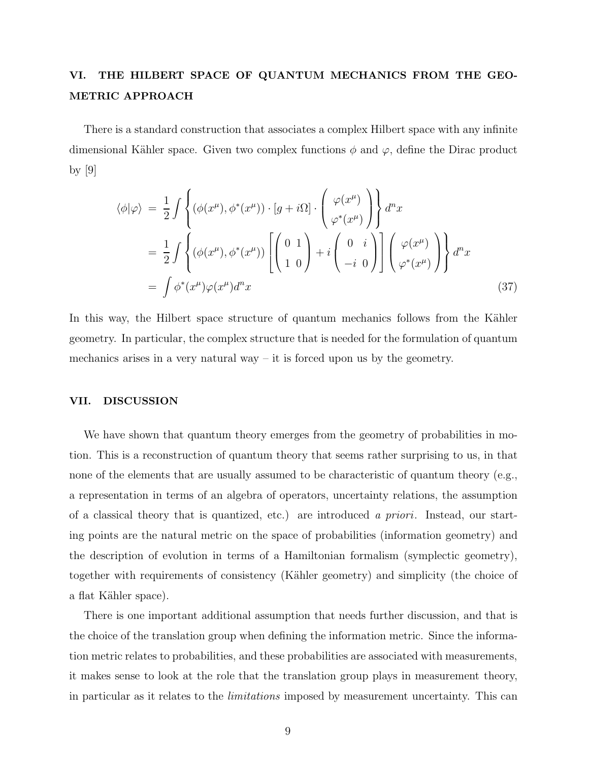# VI. THE HILBERT SPACE OF QUANTUM MECHANICS FROM THE GEO-METRIC APPROACH

There is a standard construction that associates a complex Hilbert space with any infinite dimensional Kähler space. Given two complex functions  $\phi$  and  $\varphi$ , define the Dirac product by [9]

$$
\langle \phi | \varphi \rangle = \frac{1}{2} \int \left\{ (\phi(x^{\mu}), \phi^*(x^{\mu})) \cdot [g + i\Omega] \cdot \begin{pmatrix} \varphi(x^{\mu}) \\ \varphi^*(x^{\mu}) \end{pmatrix} \right\} d^n x
$$
  
= 
$$
\frac{1}{2} \int \left\{ (\phi(x^{\mu}), \phi^*(x^{\mu})) \left[ \begin{pmatrix} 0 & 1 \\ 1 & 0 \end{pmatrix} + i \begin{pmatrix} 0 & i \\ -i & 0 \end{pmatrix} \right] \left( \begin{pmatrix} \varphi(x^{\mu}) \\ \varphi^*(x^{\mu}) \end{pmatrix} \right\} d^n x
$$
  
= 
$$
\int \phi^*(x^{\mu}) \varphi(x^{\mu}) d^n x
$$
(37)

In this way, the Hilbert space structure of quantum mechanics follows from the Kähler geometry. In particular, the complex structure that is needed for the formulation of quantum mechanics arises in a very natural way  $-$  it is forced upon us by the geometry.

## VII. DISCUSSION

We have shown that quantum theory emerges from the geometry of probabilities in motion. This is a reconstruction of quantum theory that seems rather surprising to us, in that none of the elements that are usually assumed to be characteristic of quantum theory (e.g., a representation in terms of an algebra of operators, uncertainty relations, the assumption of a classical theory that is quantized, etc.) are introduced a priori. Instead, our starting points are the natural metric on the space of probabilities (information geometry) and the description of evolution in terms of a Hamiltonian formalism (symplectic geometry), together with requirements of consistency (K¨ahler geometry) and simplicity (the choice of a flat Kähler space).

There is one important additional assumption that needs further discussion, and that is the choice of the translation group when defining the information metric. Since the information metric relates to probabilities, and these probabilities are associated with measurements, it makes sense to look at the role that the translation group plays in measurement theory, in particular as it relates to the limitations imposed by measurement uncertainty. This can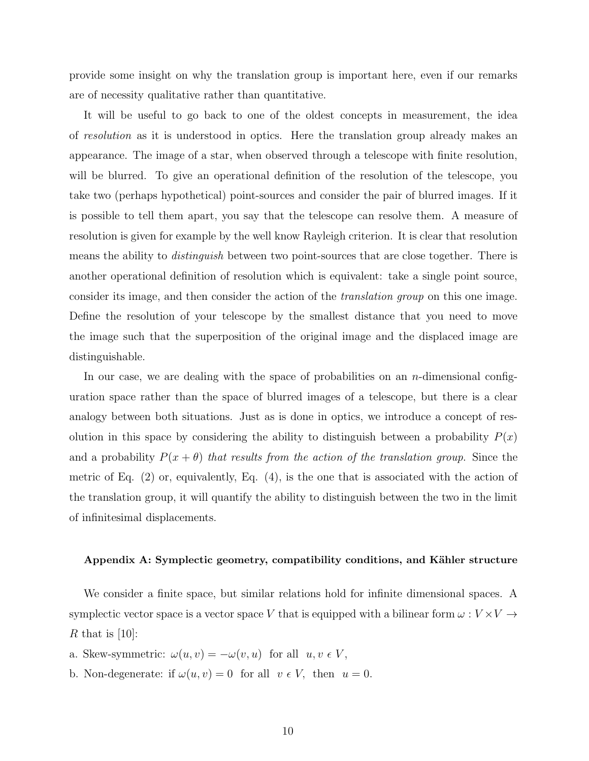provide some insight on why the translation group is important here, even if our remarks are of necessity qualitative rather than quantitative.

It will be useful to go back to one of the oldest concepts in measurement, the idea of resolution as it is understood in optics. Here the translation group already makes an appearance. The image of a star, when observed through a telescope with finite resolution, will be blurred. To give an operational definition of the resolution of the telescope, you take two (perhaps hypothetical) point-sources and consider the pair of blurred images. If it is possible to tell them apart, you say that the telescope can resolve them. A measure of resolution is given for example by the well know Rayleigh criterion. It is clear that resolution means the ability to *distinguish* between two point-sources that are close together. There is another operational definition of resolution which is equivalent: take a single point source, consider its image, and then consider the action of the translation group on this one image. Define the resolution of your telescope by the smallest distance that you need to move the image such that the superposition of the original image and the displaced image are distinguishable.

In our case, we are dealing with the space of probabilities on an  $n$ -dimensional configuration space rather than the space of blurred images of a telescope, but there is a clear analogy between both situations. Just as is done in optics, we introduce a concept of resolution in this space by considering the ability to distinguish between a probability  $P(x)$ and a probability  $P(x + \theta)$  that results from the action of the translation group. Since the metric of Eq. (2) or, equivalently, Eq. (4), is the one that is associated with the action of the translation group, it will quantify the ability to distinguish between the two in the limit of infinitesimal displacements.

#### Appendix A: Symplectic geometry, compatibility conditions, and Kähler structure

We consider a finite space, but similar relations hold for infinite dimensional spaces. A symplectic vector space is a vector space  $V$  that is equipped with a bilinear form  $\omega: V \times V \rightarrow$ R that is  $[10]$ :

a. Skew-symmetric:  $\omega(u, v) = -\omega(v, u)$  for all  $u, v \in V$ ,

b. Non-degenerate: if  $\omega(u, v) = 0$  for all  $v \in V$ , then  $u = 0$ .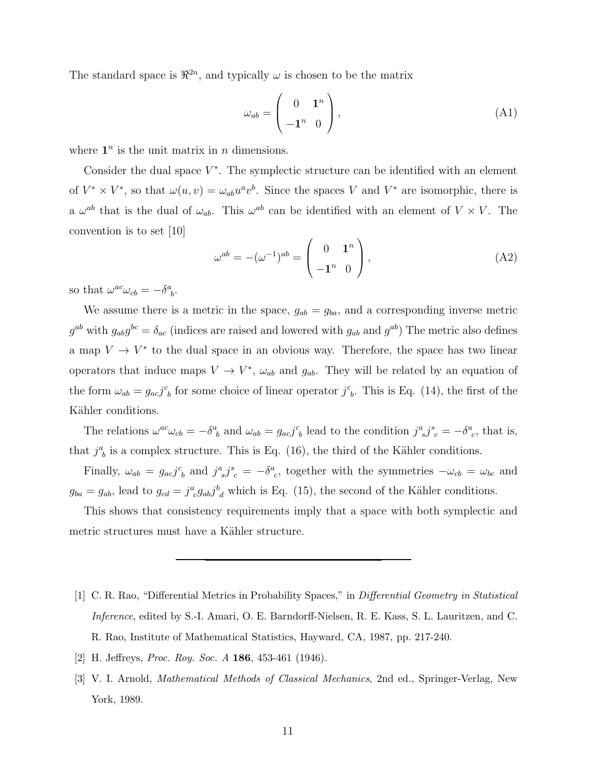The standard space is  $\mathbb{R}^{2n}$ , and typically  $\omega$  is chosen to be the matrix

$$
\omega_{ab} = \begin{pmatrix} 0 & \mathbf{1}^n \\ -\mathbf{1}^n & 0 \end{pmatrix},\tag{A1}
$$

where  $\mathbf{1}^n$  is the unit matrix in *n* dimensions.

Consider the dual space  $V^*$ . The symplectic structure can be identified with an element of  $V^* \times V^*$ , so that  $\omega(u, v) = \omega_{ab} u^a v^b$ . Since the spaces V and  $V^*$  are isomorphic, there is a  $\omega^{ab}$  that is the dual of  $\omega_{ab}$ . This  $\omega^{ab}$  can be identified with an element of  $V \times V$ . The convention is to set [10]

$$
\omega^{ab} = -(\omega^{-1})^{ab} = \begin{pmatrix} 0 & \mathbf{1}^n \\ -\mathbf{1}^n & 0 \end{pmatrix},\tag{A2}
$$

so that  $\omega^{ac}\omega_{cb} = -\delta^a_{\ b}$ .

We assume there is a metric in the space,  $g_{ab} = g_{ba}$ , and a corresponding inverse metric  $g^{ab}$  with  $g_{ab}g^{bc} = \delta_{ac}$  (indices are raised and lowered with  $g_{ab}$  and  $g^{ab}$ ) The metric also defines a map  $V \to V^*$  to the dual space in an obvious way. Therefore, the space has two linear operators that induce maps  $V \to V^*$ ,  $\omega_{ab}$  and  $g_{ab}$ . They will be related by an equation of the form  $\omega_{ab} = g_{ac}j^c_{b}$  for some choice of linear operator  $j^c_{b}$ . This is Eq. (14), the first of the Kähler conditions.

The relations  $\omega^{ac}\omega_{cb} = -\delta^a_{\ b}$  and  $\omega_{ab} = g_{ac}j^c_{\ b}$  lead to the condition  $j^a_{\ s}j^s_{\ c} = -\delta^a_{\ c}$ , that is, that  $j^a_{\ b}$  is a complex structure. This is Eq. (16), the third of the Kähler conditions.

Finally,  $\omega_{ab} = g_{ac}j^c{}_b$  and  $j^a{}_sj^s{}_c = -\delta^a{}_c$ , together with the symmetries  $-\omega_{cb} = \omega_{bc}$  and  $g_{ba} = g_{ab}$ , lead to  $g_{cd} = j^a_{\ \ c} g_{ab} j^b_{\ \ d}$  which is Eq. (15), the second of the Kähler conditions.

This shows that consistency requirements imply that a space with both symplectic and metric structures must have a Kähler structure.

- [1] C. R. Rao, "Differential Metrics in Probability Spaces," in Differential Geometry in Statistical Inference, edited by S.-I. Amari, O. E. Barndorff-Nielsen, R. E. Kass, S. L. Lauritzen, and C. R. Rao, Institute of Mathematical Statistics, Hayward, CA, 1987, pp. 217-240.
- [2] H. Jeffreys, Proc. Roy. Soc. A 186, 453-461 (1946).
- [3] V. I. Arnold, Mathematical Methods of Classical Mechanics, 2nd ed., Springer-Verlag, New York, 1989.